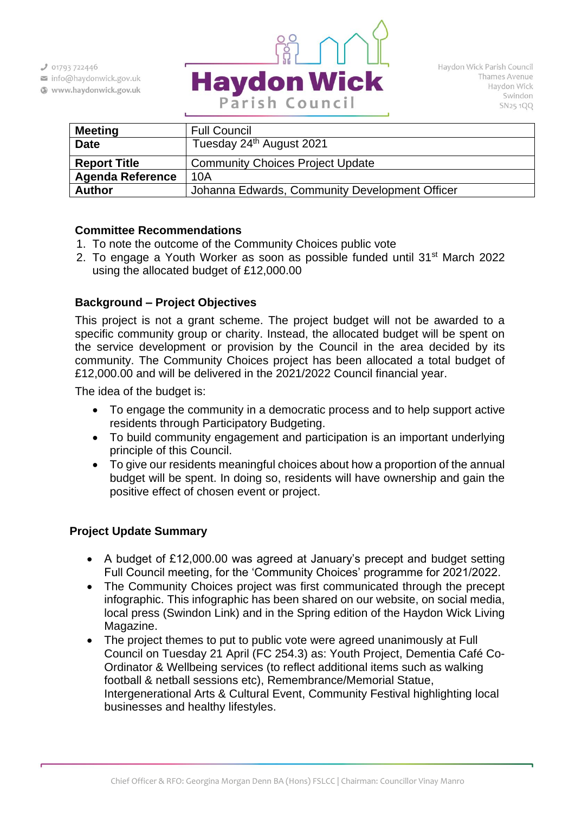$301793722446$ 

info@haydonwick.gov.uk

Www.haydonwick.gov.uk



| <b>Meeting</b>          | <b>Full Council</b>                            |
|-------------------------|------------------------------------------------|
| <b>Date</b>             | Tuesday 24 <sup>th</sup> August 2021           |
| <b>Report Title</b>     | <b>Community Choices Project Update</b>        |
| <b>Agenda Reference</b> | 10A                                            |
| <b>Author</b>           | Johanna Edwards, Community Development Officer |

## **Committee Recommendations**

- 1. To note the outcome of the Community Choices public vote
- 2. To engage a Youth Worker as soon as possible funded until 31st March 2022 using the allocated budget of £12,000.00

## **Background – Project Objectives**

This project is not a grant scheme. The project budget will not be awarded to a specific community group or charity. Instead, the allocated budget will be spent on the service development or provision by the Council in the area decided by its community. The Community Choices project has been allocated a total budget of £12,000.00 and will be delivered in the 2021/2022 Council financial year.

The idea of the budget is:

- To engage the community in a democratic process and to help support active residents through Participatory Budgeting.
- To build community engagement and participation is an important underlying principle of this Council.
- To give our residents meaningful choices about how a proportion of the annual budget will be spent. In doing so, residents will have ownership and gain the positive effect of chosen event or project.

#### **Project Update Summary**

- A budget of £12,000.00 was agreed at January's precept and budget setting Full Council meeting, for the 'Community Choices' programme for 2021/2022.
- The Community Choices project was first communicated through the precept infographic. This infographic has been shared on our website, on social media, local press (Swindon Link) and in the Spring edition of the Haydon Wick Living Magazine.
- The project themes to put to public vote were agreed unanimously at Full Council on Tuesday 21 April (FC 254.3) as: Youth Project, Dementia Café Co-Ordinator & Wellbeing services (to reflect additional items such as walking football & netball sessions etc), Remembrance/Memorial Statue, Intergenerational Arts & Cultural Event, Community Festival highlighting local businesses and healthy lifestyles.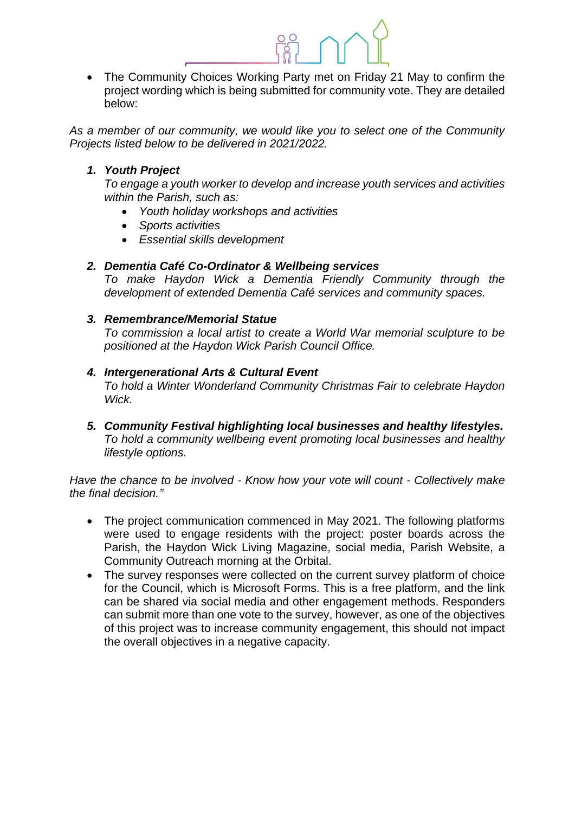• The Community Choices Working Party met on Friday 21 May to confirm the project wording which is being submitted for community vote. They are detailed below:

*As a member of our community, we would like you to select one of the Community Projects listed below to be delivered in 2021/2022.*

### *1. Youth Project*

*To engage a youth worker to develop and increase youth services and activities within the Parish, such as:* 

- *Youth holiday workshops and activities*
- *Sports activities*
- *Essential skills development*

#### *2. Dementia Café Co-Ordinator & Wellbeing services*

*To make Haydon Wick a Dementia Friendly Community through the development of extended Dementia Café services and community spaces.*

#### *3. Remembrance/Memorial Statue*

*To commission a local artist to create a World War memorial sculpture to be positioned at the Haydon Wick Parish Council Office.*

## *4. Intergenerational Arts & Cultural Event*

*To hold a Winter Wonderland Community Christmas Fair to celebrate Haydon Wick.*

*5. Community Festival highlighting local businesses and healthy lifestyles. To hold a community wellbeing event promoting local businesses and healthy lifestyle options.*

*Have the chance to be involved - Know how your vote will count - Collectively make the final decision."*

- The project communication commenced in May 2021. The following platforms were used to engage residents with the project: poster boards across the Parish, the Haydon Wick Living Magazine, social media, Parish Website, a Community Outreach morning at the Orbital.
- The survey responses were collected on the current survey platform of choice for the Council, which is Microsoft Forms. This is a free platform, and the link can be shared via social media and other engagement methods. Responders can submit more than one vote to the survey, however, as one of the objectives of this project was to increase community engagement, this should not impact the overall objectives in a negative capacity.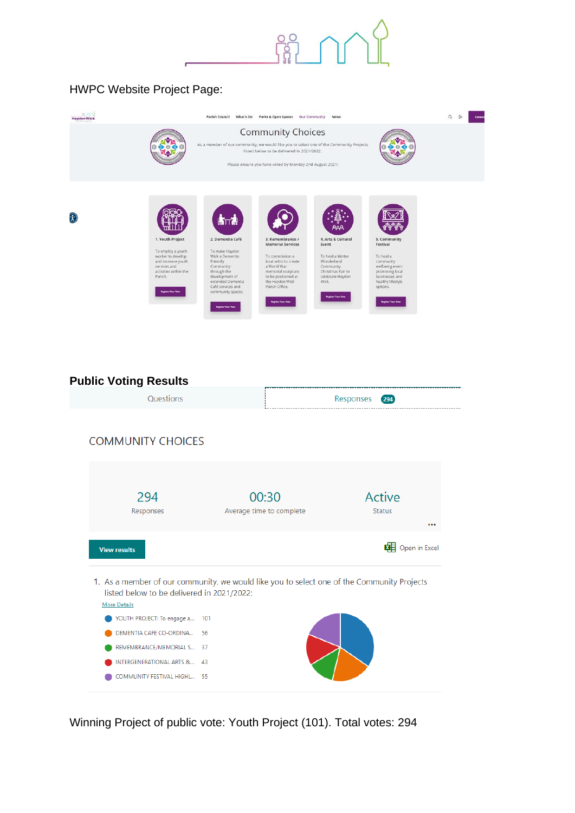

# HWPC Website Project Page:

| m nr<br><b>Haydon Wick</b>                                                                                                                                                           | <b>Parish Council</b><br>What's On                                                                                                                                                                                   | Parks & Open Spaces<br>Our Community                                                                                                                                                                                         | <b>News</b>                                                                                                                                                      |                                                                                                                                                                          | $\Omega$<br>$\approx$<br>Contac |
|--------------------------------------------------------------------------------------------------------------------------------------------------------------------------------------|----------------------------------------------------------------------------------------------------------------------------------------------------------------------------------------------------------------------|------------------------------------------------------------------------------------------------------------------------------------------------------------------------------------------------------------------------------|------------------------------------------------------------------------------------------------------------------------------------------------------------------|--------------------------------------------------------------------------------------------------------------------------------------------------------------------------|---------------------------------|
|                                                                                                                                                                                      |                                                                                                                                                                                                                      | <b>Community Choices</b><br>As a member of our community, we would like you to select one of the Community Projects<br>listed below to be delivered in 2021/2022.<br>Please ensure you have voted by Monday 2nd August 2021: |                                                                                                                                                                  |                                                                                                                                                                          |                                 |
| $\widehat{\mathfrak{X}}$<br>1. Youth Project<br>To employ a youth<br>worker to develop<br>and increase youth<br>services and<br>activities within the<br>Parish.<br>elistan Your Vot | <b>WITTON</b><br>2. Dementia Café<br>To make Haydon<br>Wick a Dementia<br>Friendly<br>Community<br>through the<br>development of<br>extended Dementia<br>Café services and<br>community spaces.<br>agistar Your Vote | 3. Remembrance /<br><b>Memorial Services</b><br>To commission a<br>local artist to create<br>a World War<br>memorial sculpture<br>to be positioned at<br>the Haydon Wick<br>Parish Office.<br><b>Register Your Vota</b>      | AAA<br>4. Arts & Cultural<br>Event<br>To hold a Winter<br>Wonderland<br>Community<br>Christmas Fair to<br>celebrate Haydon<br>Wick.<br><b>Register Your Vote</b> | 5. Community<br>Festival<br>To hold a<br>community<br>wellbeing event<br>promoting local<br>businesses and<br>healthy lifestyle<br>options.<br><b>Register Your Vote</b> |                                 |

## **Public Voting Results** Questions Responses 294 **COMMUNITY CHOICES** 294 00:30 Active Responses Average time to complete Status  $\ddotsc$ **EE** Open in Excel **View results** 1. As a member of our community, we would like you to select one of the Community Projects listed below to be delivered in 2021/2022: More Details YOUTH PROJECT: To engage a... 101 DEMENTIA CAFE CO-ORDINA... 56 REMEMBRANCE/MEMORIAL S... 37 INTERGENERATIONAL ARTS &... 43 COMMUNITY FESTIVAL HIGHL... 55

Winning Project of public vote: Youth Project (101). Total votes: 294